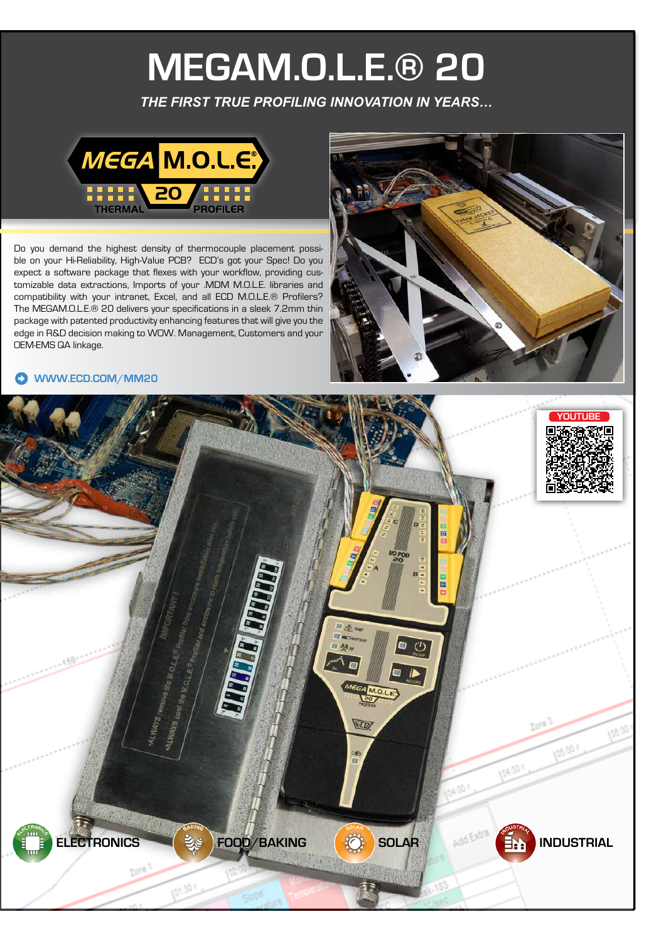# **MEGAM.O.L.E.® 20**

*THE FIRST TRUE PROFILING INNOVATION IN YEARS…*



Do you demand the highest density of thermocouple placement possible on your Hi-Reliability, High-Value PCB? ECD's got your Spec! Do you expect a software package that flexes with your workflow, providing customizable data extractions, Imports of your .MDM M.O.L.E. libraries and compatibility with your intranet, Excel, and all ECD M.O.L.E.® Profilers? The MEGAM.O.L.E.® 20 delivers your specifications in a sleek 7.2mm thin package with patented productivity enhancing features that will give you the edge in R&D decision making to WOW. Management, Customers and your OEM-EMS QA linkage.



#### **[WWW.ECD.COM/MM20](https://koi-3QNI5O3AF4.marketingautomation.services/net/m?md=Wq8iwZgYeYAE4TISN8esk8iP872cWlwF)**

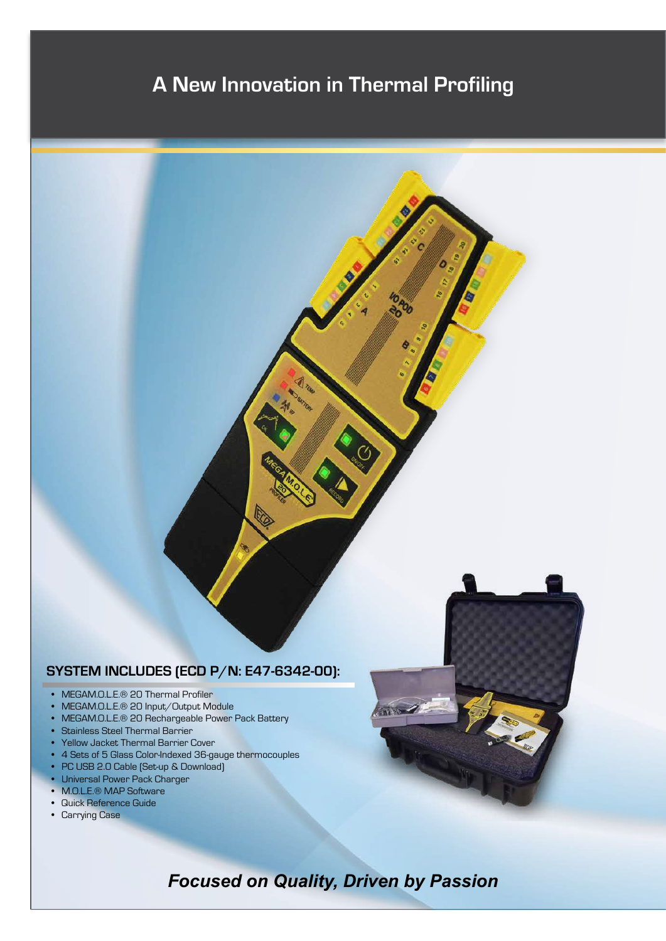# **A New Innovation in Thermal Profiling**

# **SYSTEM INCLUDES (ECD P/N: E47-6342-00):**

- MEGAM.O.L.E.® 20 Thermal Profiler
- MEGAM.O.L.E.® 20 Input/Output Module
- MEGAM.O.L.E.® 20 Rechargeable Power Pack Battery
- Stainless Steel Thermal Barrier
- Yellow Jacket Thermal Barrier Cover
- 4 Sets of 5 Glass Color-Indexed 36-gauge thermocouples
- PC USB 2.0 Cable (Set-up & Download)
- Universal Power Pack Charger
- M.O.L.E.® MAP Software
- Quick Reference Guide
- Carrying Case

*Focused on Quality, Driven by Passion*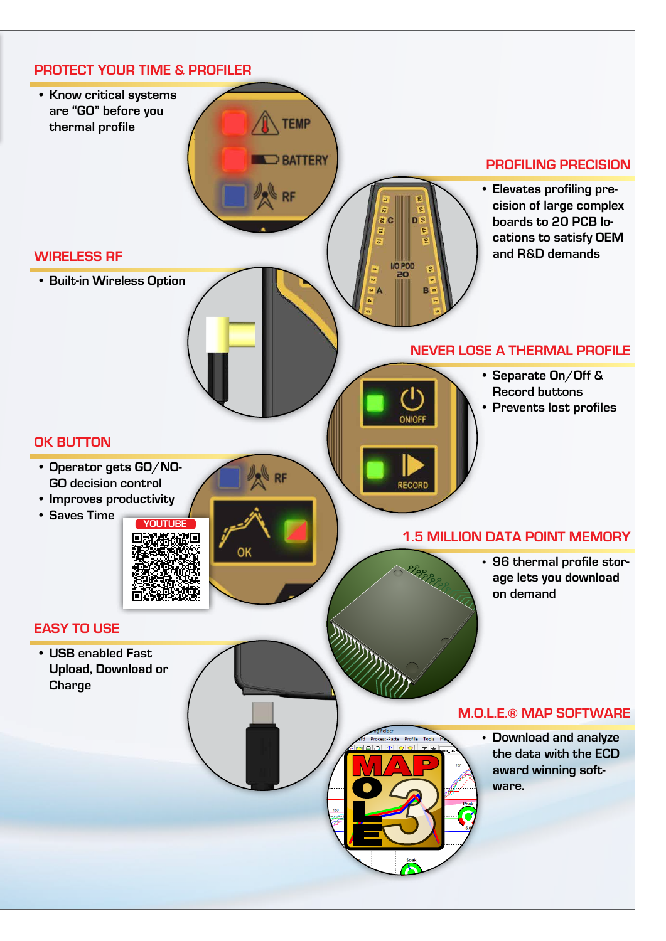